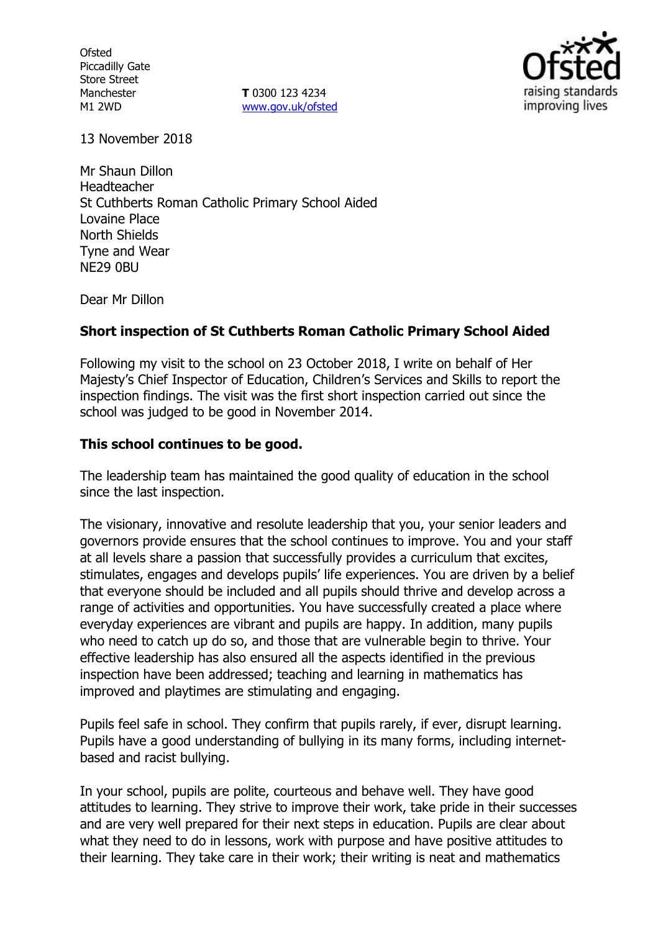**Ofsted** Piccadilly Gate Store Street Manchester M1 2WD

**T** 0300 123 4234 www.gov.uk/ofsted



13 November 2018

Mr Shaun Dillon Headteacher St Cuthberts Roman Catholic Primary School Aided Lovaine Place North Shields Tyne and Wear NE29 0BU

Dear Mr Dillon

#### **Short inspection of St Cuthberts Roman Catholic Primary School Aided**

Following my visit to the school on 23 October 2018, I write on behalf of Her Majesty's Chief Inspector of Education, Children's Services and Skills to report the inspection findings. The visit was the first short inspection carried out since the school was judged to be good in November 2014.

# **This school continues to be good.**

The leadership team has maintained the good quality of education in the school since the last inspection.

The visionary, innovative and resolute leadership that you, your senior leaders and governors provide ensures that the school continues to improve. You and your staff at all levels share a passion that successfully provides a curriculum that excites, stimulates, engages and develops pupils' life experiences. You are driven by a belief that everyone should be included and all pupils should thrive and develop across a range of activities and opportunities. You have successfully created a place where everyday experiences are vibrant and pupils are happy. In addition, many pupils who need to catch up do so, and those that are vulnerable begin to thrive. Your effective leadership has also ensured all the aspects identified in the previous inspection have been addressed; teaching and learning in mathematics has improved and playtimes are stimulating and engaging.

Pupils feel safe in school. They confirm that pupils rarely, if ever, disrupt learning. Pupils have a good understanding of bullying in its many forms, including internetbased and racist bullying.

In your school, pupils are polite, courteous and behave well. They have good attitudes to learning. They strive to improve their work, take pride in their successes and are very well prepared for their next steps in education. Pupils are clear about what they need to do in lessons, work with purpose and have positive attitudes to their learning. They take care in their work; their writing is neat and mathematics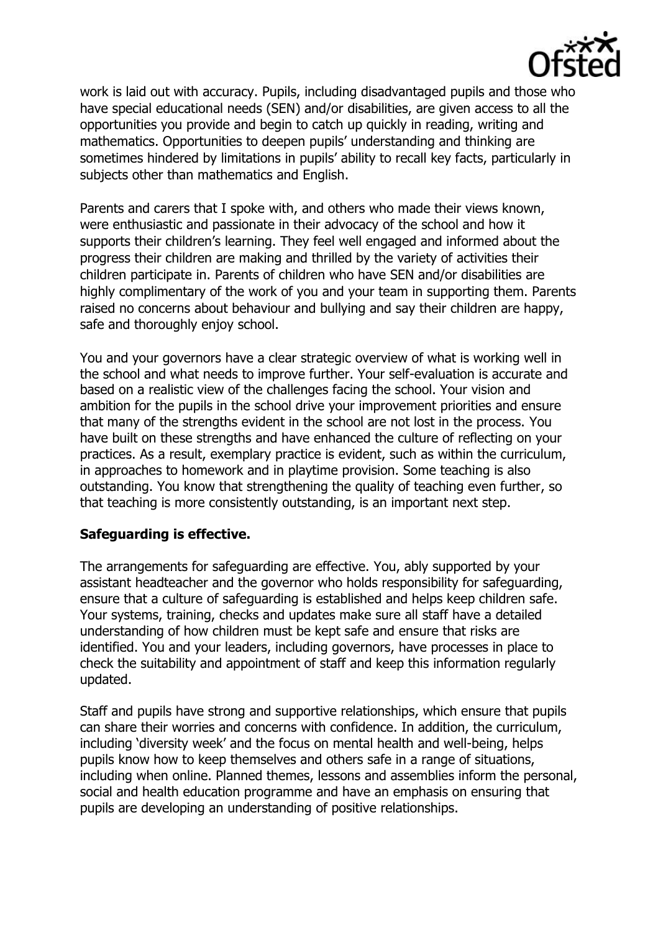

work is laid out with accuracy. Pupils, including disadvantaged pupils and those who have special educational needs (SEN) and/or disabilities, are given access to all the opportunities you provide and begin to catch up quickly in reading, writing and mathematics. Opportunities to deepen pupils' understanding and thinking are sometimes hindered by limitations in pupils' ability to recall key facts, particularly in subjects other than mathematics and English.

Parents and carers that I spoke with, and others who made their views known, were enthusiastic and passionate in their advocacy of the school and how it supports their children's learning. They feel well engaged and informed about the progress their children are making and thrilled by the variety of activities their children participate in. Parents of children who have SEN and/or disabilities are highly complimentary of the work of you and your team in supporting them. Parents raised no concerns about behaviour and bullying and say their children are happy, safe and thoroughly enjoy school.

You and your governors have a clear strategic overview of what is working well in the school and what needs to improve further. Your self-evaluation is accurate and based on a realistic view of the challenges facing the school. Your vision and ambition for the pupils in the school drive your improvement priorities and ensure that many of the strengths evident in the school are not lost in the process. You have built on these strengths and have enhanced the culture of reflecting on your practices. As a result, exemplary practice is evident, such as within the curriculum, in approaches to homework and in playtime provision. Some teaching is also outstanding. You know that strengthening the quality of teaching even further, so that teaching is more consistently outstanding, is an important next step.

# **Safeguarding is effective.**

The arrangements for safeguarding are effective. You, ably supported by your assistant headteacher and the governor who holds responsibility for safeguarding, ensure that a culture of safeguarding is established and helps keep children safe. Your systems, training, checks and updates make sure all staff have a detailed understanding of how children must be kept safe and ensure that risks are identified. You and your leaders, including governors, have processes in place to check the suitability and appointment of staff and keep this information regularly updated.

Staff and pupils have strong and supportive relationships, which ensure that pupils can share their worries and concerns with confidence. In addition, the curriculum, including 'diversity week' and the focus on mental health and well-being, helps pupils know how to keep themselves and others safe in a range of situations, including when online. Planned themes, lessons and assemblies inform the personal, social and health education programme and have an emphasis on ensuring that pupils are developing an understanding of positive relationships.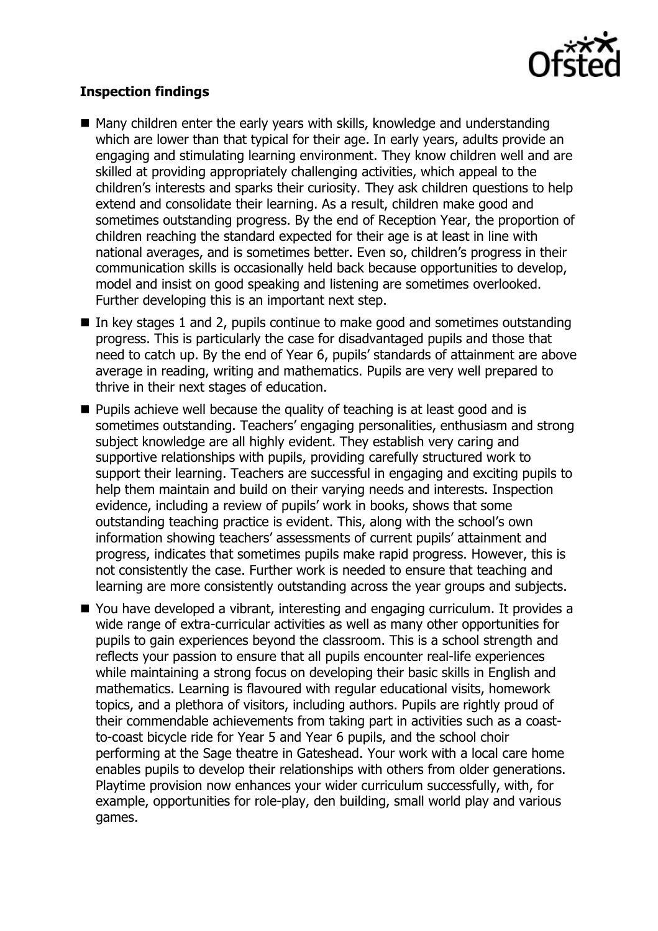

# **Inspection findings**

- Many children enter the early years with skills, knowledge and understanding which are lower than that typical for their age. In early years, adults provide an engaging and stimulating learning environment. They know children well and are skilled at providing appropriately challenging activities, which appeal to the children's interests and sparks their curiosity. They ask children questions to help extend and consolidate their learning. As a result, children make good and sometimes outstanding progress. By the end of Reception Year, the proportion of children reaching the standard expected for their age is at least in line with national averages, and is sometimes better. Even so, children's progress in their communication skills is occasionally held back because opportunities to develop, model and insist on good speaking and listening are sometimes overlooked. Further developing this is an important next step.
- $\blacksquare$  In key stages 1 and 2, pupils continue to make good and sometimes outstanding progress. This is particularly the case for disadvantaged pupils and those that need to catch up. By the end of Year 6, pupils' standards of attainment are above average in reading, writing and mathematics. Pupils are very well prepared to thrive in their next stages of education.
- **Pupils achieve well because the quality of teaching is at least good and is** sometimes outstanding. Teachers' engaging personalities, enthusiasm and strong subject knowledge are all highly evident. They establish very caring and supportive relationships with pupils, providing carefully structured work to support their learning. Teachers are successful in engaging and exciting pupils to help them maintain and build on their varying needs and interests. Inspection evidence, including a review of pupils' work in books, shows that some outstanding teaching practice is evident. This, along with the school's own information showing teachers' assessments of current pupils' attainment and progress, indicates that sometimes pupils make rapid progress. However, this is not consistently the case. Further work is needed to ensure that teaching and learning are more consistently outstanding across the year groups and subjects.
- You have developed a vibrant, interesting and engaging curriculum. It provides a wide range of extra-curricular activities as well as many other opportunities for pupils to gain experiences beyond the classroom. This is a school strength and reflects your passion to ensure that all pupils encounter real-life experiences while maintaining a strong focus on developing their basic skills in English and mathematics. Learning is flavoured with regular educational visits, homework topics, and a plethora of visitors, including authors. Pupils are rightly proud of their commendable achievements from taking part in activities such as a coastto-coast bicycle ride for Year 5 and Year 6 pupils, and the school choir performing at the Sage theatre in Gateshead. Your work with a local care home enables pupils to develop their relationships with others from older generations. Playtime provision now enhances your wider curriculum successfully, with, for example, opportunities for role-play, den building, small world play and various games.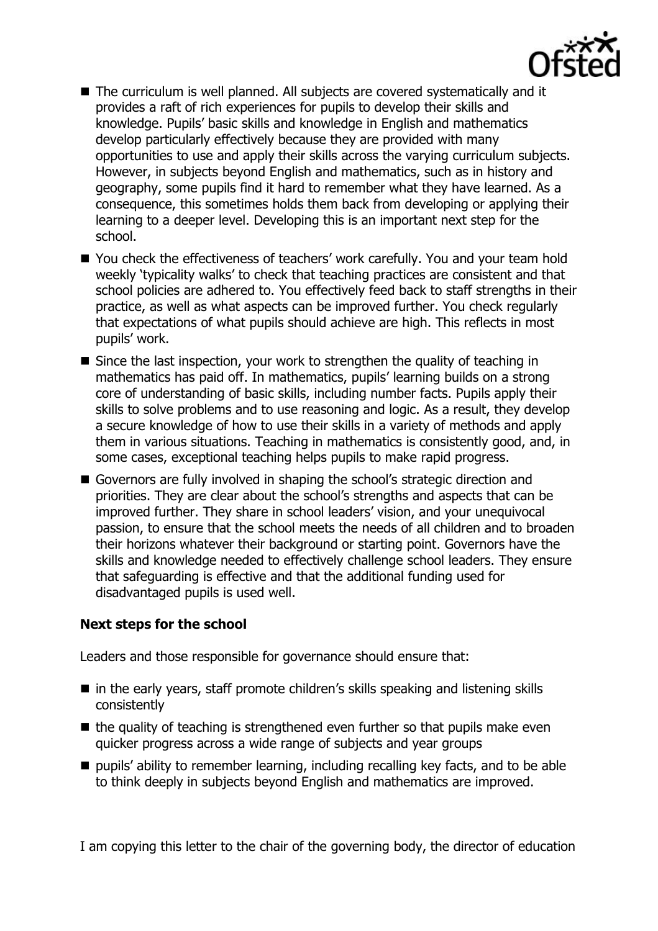

- The curriculum is well planned. All subjects are covered systematically and it provides a raft of rich experiences for pupils to develop their skills and knowledge. Pupils' basic skills and knowledge in English and mathematics develop particularly effectively because they are provided with many opportunities to use and apply their skills across the varying curriculum subjects. However, in subjects beyond English and mathematics, such as in history and geography, some pupils find it hard to remember what they have learned. As a consequence, this sometimes holds them back from developing or applying their learning to a deeper level. Developing this is an important next step for the school.
- You check the effectiveness of teachers' work carefully. You and your team hold weekly 'typicality walks' to check that teaching practices are consistent and that school policies are adhered to. You effectively feed back to staff strengths in their practice, as well as what aspects can be improved further. You check regularly that expectations of what pupils should achieve are high. This reflects in most pupils' work.
- Since the last inspection, your work to strengthen the quality of teaching in mathematics has paid off. In mathematics, pupils' learning builds on a strong core of understanding of basic skills, including number facts. Pupils apply their skills to solve problems and to use reasoning and logic. As a result, they develop a secure knowledge of how to use their skills in a variety of methods and apply them in various situations. Teaching in mathematics is consistently good, and, in some cases, exceptional teaching helps pupils to make rapid progress.
- Governors are fully involved in shaping the school's strategic direction and priorities. They are clear about the school's strengths and aspects that can be improved further. They share in school leaders' vision, and your unequivocal passion, to ensure that the school meets the needs of all children and to broaden their horizons whatever their background or starting point. Governors have the skills and knowledge needed to effectively challenge school leaders. They ensure that safeguarding is effective and that the additional funding used for disadvantaged pupils is used well.

#### **Next steps for the school**

Leaders and those responsible for governance should ensure that:

- in the early years, staff promote children's skills speaking and listening skills consistently
- $\blacksquare$  the quality of teaching is strengthened even further so that pupils make even quicker progress across a wide range of subjects and year groups
- $\blacksquare$  pupils' ability to remember learning, including recalling key facts, and to be able to think deeply in subjects beyond English and mathematics are improved.

I am copying this letter to the chair of the governing body, the director of education